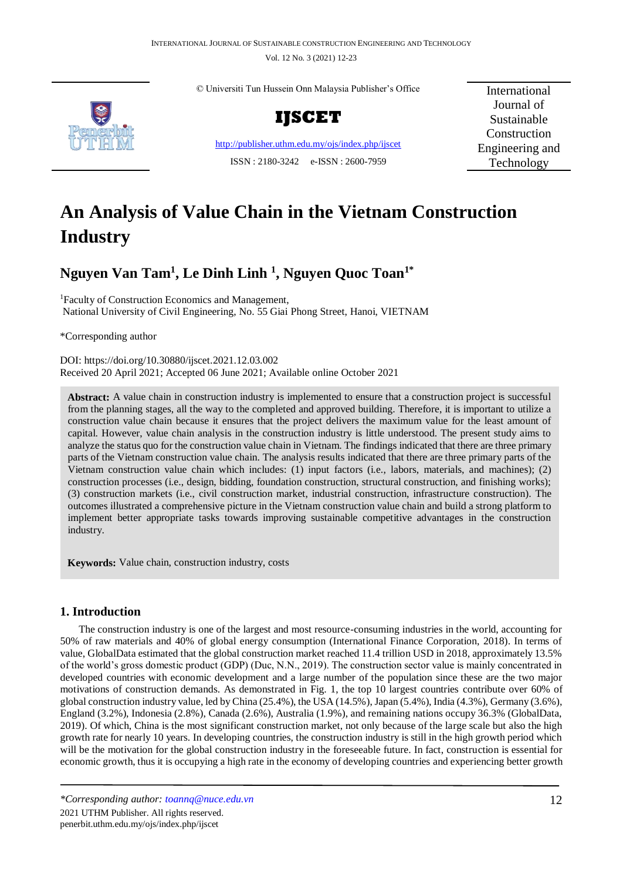Vol. 12 No. 3 (2021) 12-23



© Universiti Tun Hussein Onn Malaysia Publisher's Office



<http://publisher.uthm.edu.my/ojs/index.php/ijscet> ISSN : 2180-3242 e-ISSN : 2600-7959

International Journal of Sustainable **Construction** Engineering and Technology

# **An Analysis of Value Chain in the Vietnam Construction Industry**

# **Nguyen Van Tam<sup>1</sup> , Le Dinh Linh <sup>1</sup> , Nguyen Quoc Toan1\***

<sup>1</sup>Faculty of Construction Economics and Management, National University of Civil Engineering, No. 55 Giai Phong Street, Hanoi, VIETNAM

\*Corresponding author

DOI: https://doi.org/10.30880/ijscet.2021.12.03.002 Received 20 April 2021; Accepted 06 June 2021; Available online October 2021

**Abstract:** A value chain in construction industry is implemented to ensure that a construction project is successful from the planning stages, all the way to the completed and approved building. Therefore, it is important to utilize a construction value chain because it ensures that the project delivers the maximum value for the least amount of capital. However, value chain analysis in the construction industry is little understood. The present study aims to analyze the status quo for the construction value chain in Vietnam. The findings indicated that there are three primary parts of the Vietnam construction value chain. The analysis results indicated that there are three primary parts of the Vietnam construction value chain which includes: (1) input factors (i.e., labors, materials, and machines); (2) construction processes (i.e., design, bidding, foundation construction, structural construction, and finishing works); (3) construction markets (i.e., civil construction market, industrial construction, infrastructure construction). The outcomes illustrated a comprehensive picture in the Vietnam construction value chain and build a strong platform to implement better appropriate tasks towards improving sustainable competitive advantages in the construction industry.

**Keywords:** Value chain, construction industry, costs

# **1. Introduction**

The construction industry is one of the largest and most resource-consuming industries in the world, accounting for 50% of raw materials and 40% of global energy consumption (International Finance Corporation, 2018). In terms of value, GlobalData estimated that the global construction market reached 11.4 trillion USD in 2018, approximately 13.5% of the world's gross domestic product (GDP) (Duc, N.N., 2019). The construction sector value is mainly concentrated in developed countries with economic development and a large number of the population since these are the two major motivations of construction demands. As demonstrated in Fig. 1, the top 10 largest countries contribute over 60% of global construction industry value, led by China (25.4%), the USA (14.5%), Japan (5.4%), India (4.3%), Germany (3.6%), England (3.2%), Indonesia (2.8%), Canada (2.6%), Australia (1.9%), and remaining nations occupy 36.3% (GlobalData, 2019). Of which, China is the most significant construction market, not only because of the large scale but also the high growth rate for nearly 10 years. In developing countries, the construction industry is still in the high growth period which will be the motivation for the global construction industry in the foreseeable future. In fact, construction is essential for economic growth, thus it is occupying a high rate in the economy of developing countries and experiencing better growth

*<sup>\*</sup>Corresponding author: [toannq@nuce.edu.vn](mailto:toannq@nuce.edu.vn)* 12 2021 UTHM Publisher. All rights reserved.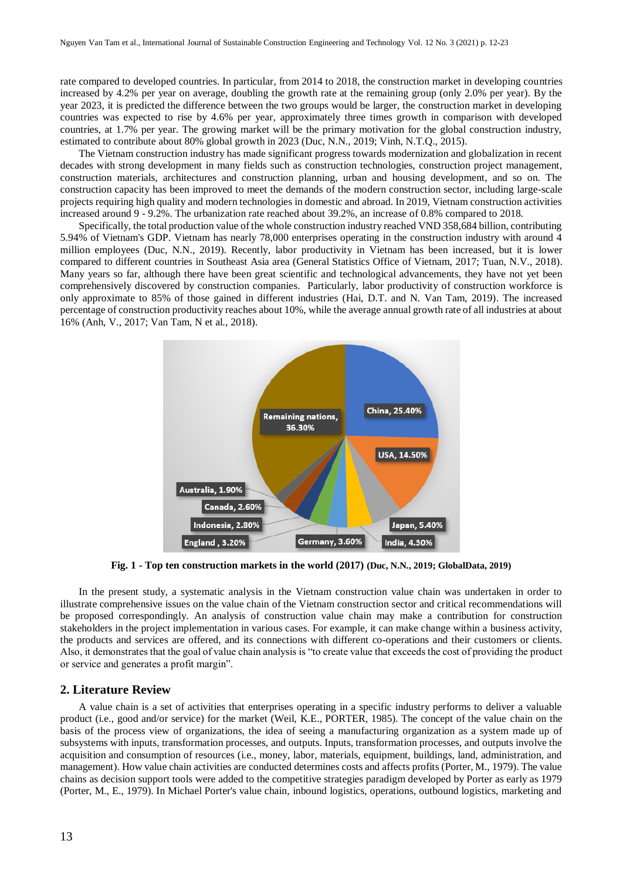rate compared to developed countries. In particular, from 2014 to 2018, the construction market in developing countries increased by 4.2% per year on average, doubling the growth rate at the remaining group (only 2.0% per year). By the year 2023, it is predicted the difference between the two groups would be larger, the construction market in developing countries was expected to rise by 4.6% per year, approximately three times growth in comparison with developed countries, at 1.7% per year. The growing market will be the primary motivation for the global construction industry, estimated to contribute about 80% global growth in 2023 (Duc, N.N., 2019; Vinh, N.T.Q., 2015).

The Vietnam construction industry has made significant progress towards modernization and globalization in recent decades with strong development in many fields such as construction technologies, construction project management, construction materials, architectures and construction planning, urban and housing development, and so on. The construction capacity has been improved to meet the demands of the modern construction sector, including large-scale projects requiring high quality and modern technologies in domestic and abroad. In 2019, Vietnam construction activities increased around 9 - 9.2%. The urbanization rate reached about 39.2%, an increase of 0.8% compared to 2018.

Specifically, the total production value of the whole construction industry reached VND 358,684 billion, contributing 5.94% of Vietnam's GDP. Vietnam has nearly 78,000 enterprises operating in the construction industry with around 4 million employees (Duc, N.N., 2019). Recently, labor productivity in Vietnam has been increased, but it is lower compared to different countries in Southeast Asia area (General Statistics Office of Vietnam, 2017; Tuan, N.V., 2018). Many years so far, although there have been great scientific and technological advancements, they have not yet been comprehensively discovered by construction companies. Particularly, labor productivity of construction workforce is only approximate to 85% of those gained in different industries (Hai, D.T. and N. Van Tam, 2019). The increased percentage of construction productivity reaches about 10%, while the average annual growth rate of all industries at about 16% (Anh, V., 2017; Van Tam, N et al., 2018).



**Fig. 1 - Top ten construction markets in the world (2017) (Duc, N.N., 2019; GlobalData, 2019)**

In the present study, a systematic analysis in the Vietnam construction value chain was undertaken in order to illustrate comprehensive issues on the value chain of the Vietnam construction sector and critical recommendations will be proposed correspondingly. An analysis of construction value chain may make a contribution for construction stakeholders in the project implementation in various cases. For example, it can make change within a business activity, the products and services are offered, and its connections with different co-operations and their customers or clients. Also, it demonstrates that the goal of value chain analysis is "to create value that exceeds the cost of providing the product or service and generates a profit margin".

#### **2. Literature Review**

A value chain is a set of activities that enterprises operating in a specific industry performs to deliver a valuable product (i.e., good and/or service) for the market (Weil, K.E., PORTER, 1985). The concept of the value chain on the basis of the process view of organizations, the idea of seeing a manufacturing organization as a system made up of subsystems with inputs, transformation processes, and outputs. Inputs, transformation processes, and outputs involve the acquisition and consumption of resources (i.e., money, labor, materials, equipment, buildings, land, administration, and management). How value chain activities are conducted determines costs and affects profits (Porter, M., 1979). The value chains as decision support tools were added to the competitive strategies paradigm developed by Porter as early as 1979 (Porter, M., E., 1979). In Michael Porter's value chain, inbound logistics, operations, outbound logistics, marketing and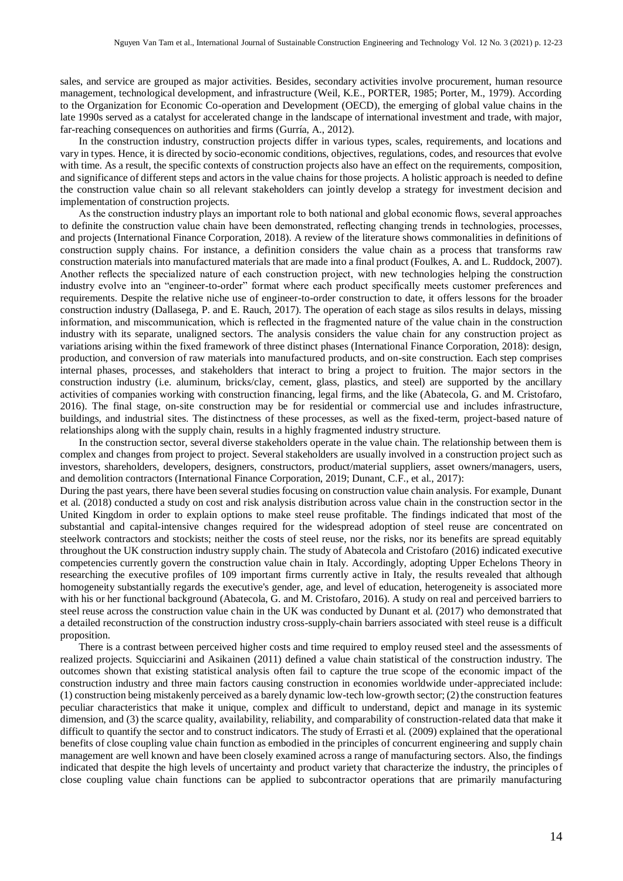sales, and service are grouped as major activities. Besides, secondary activities involve procurement, human resource management, technological development, and infrastructure (Weil, K.E., PORTER, 1985; Porter, M., 1979). According to the Organization for Economic Co-operation and Development (OECD), the emerging of global value chains in the late 1990s served as a catalyst for accelerated change in the landscape of international investment and trade, with major, far-reaching consequences on authorities and firms (Gurría, A., 2012).

In the construction industry, construction projects differ in various types, scales, requirements, and locations and vary in types. Hence, it is directed by socio-economic conditions, objectives, regulations, codes, and resources that evolve with time. As a result, the specific contexts of construction projects also have an effect on the requirements, composition, and significance of different steps and actors in the value chains for those projects. A holistic approach is needed to define the construction value chain so all relevant stakeholders can jointly develop a strategy for investment decision and implementation of construction projects.

As the construction industry plays an important role to both national and global economic flows, several approaches to definite the construction value chain have been demonstrated, reflecting changing trends in technologies, processes, and projects (International Finance Corporation, 2018). A review of the literature shows commonalities in definitions of construction supply chains. For instance, a definition considers the value chain as a process that transforms raw construction materials into manufactured materials that are made into a final product (Foulkes, A. and L. Ruddock, 2007). Another reflects the specialized nature of each construction project, with new technologies helping the construction industry evolve into an "engineer-to-order" format where each product specifically meets customer preferences and requirements. Despite the relative niche use of engineer-to-order construction to date, it offers lessons for the broader construction industry (Dallasega, P. and E. Rauch, 2017). The operation of each stage as silos results in delays, missing information, and miscommunication, which is reflected in the fragmented nature of the value chain in the construction industry with its separate, unaligned sectors. The analysis considers the value chain for any construction project as variations arising within the fixed framework of three distinct phases (International Finance Corporation, 2018): design, production, and conversion of raw materials into manufactured products, and on-site construction. Each step comprises internal phases, processes, and stakeholders that interact to bring a project to fruition. The major sectors in the construction industry (i.e. aluminum, bricks/clay, cement, glass, plastics, and steel) are supported by the ancillary activities of companies working with construction financing, legal firms, and the like (Abatecola, G. and M. Cristofaro, 2016). The final stage, on-site construction may be for residential or commercial use and includes infrastructure, buildings, and industrial sites. The distinctness of these processes, as well as the fixed-term, project-based nature of relationships along with the supply chain, results in a highly fragmented industry structure.

In the construction sector, several diverse stakeholders operate in the value chain. The relationship between them is complex and changes from project to project. Several stakeholders are usually involved in a construction project such as investors, shareholders, developers, designers, constructors, product/material suppliers, asset owners/managers, users, and demolition contractors (International Finance Corporation, 2019; Dunant, C.F., et al., 2017):

During the past years, there have been several studies focusing on construction value chain analysis. For example, Dunant et al. (2018) conducted a study on cost and risk analysis distribution across value chain in the construction sector in the United Kingdom in order to explain options to make steel reuse profitable. The findings indicated that most of the substantial and capital-intensive changes required for the widespread adoption of steel reuse are concentrated on steelwork contractors and stockists; neither the costs of steel reuse, nor the risks, nor its benefits are spread equitably throughout the UK construction industry supply chain. The study of Abatecola and Cristofaro (2016) indicated executive competencies currently govern the construction value chain in Italy. Accordingly, adopting Upper Echelons Theory in researching the executive profiles of 109 important firms currently active in Italy, the results revealed that although homogeneity substantially regards the executive's gender, age, and level of education, heterogeneity is associated more with his or her functional background (Abatecola, G. and M. Cristofaro, 2016). A study on real and perceived barriers to steel reuse across the construction value chain in the UK was conducted by Dunant et al. (2017) who demonstrated that a detailed reconstruction of the construction industry cross-supply-chain barriers associated with steel reuse is a difficult proposition.

There is a contrast between perceived higher costs and time required to employ reused steel and the assessments of realized projects. Squicciarini and Asikainen (2011) defined a value chain statistical of the construction industry. The outcomes shown that existing statistical analysis often fail to capture the true scope of the economic impact of the construction industry and three main factors causing construction in economies worldwide under-appreciated include: (1) construction being mistakenly perceived as a barely dynamic low-tech low-growth sector; (2) the construction features peculiar characteristics that make it unique, complex and difficult to understand, depict and manage in its systemic dimension, and (3) the scarce quality, availability, reliability, and comparability of construction-related data that make it difficult to quantify the sector and to construct indicators. The study of Errasti et al. (2009) explained that the operational benefits of close coupling value chain function as embodied in the principles of concurrent engineering and supply chain management are well known and have been closely examined across a range of manufacturing sectors. Also, the findings indicated that despite the high levels of uncertainty and product variety that characterize the industry, the principles of close coupling value chain functions can be applied to subcontractor operations that are primarily manufacturing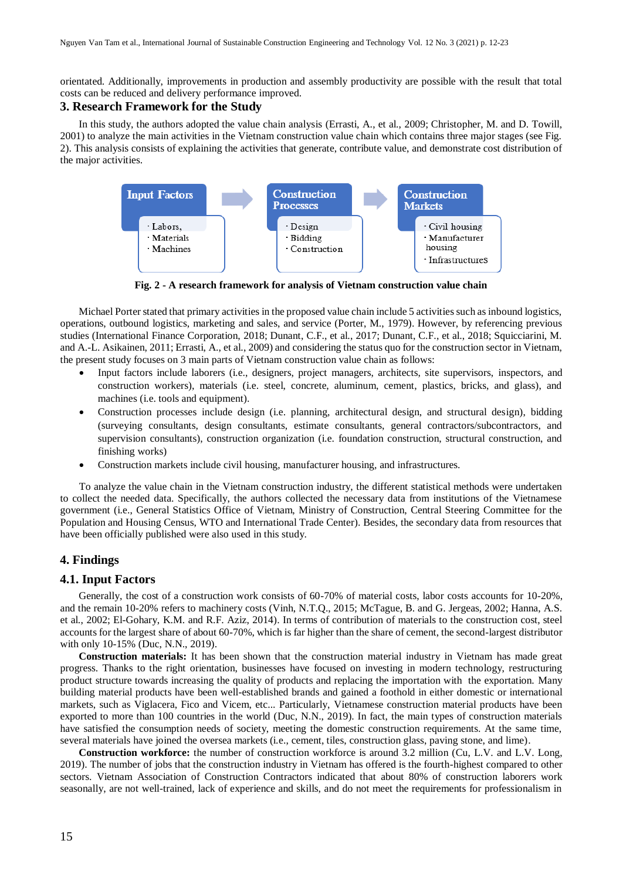orientated. Additionally, improvements in production and assembly productivity are possible with the result that total costs can be reduced and delivery performance improved.

#### **3. Research Framework for the Study**

In this study, the authors adopted the value chain analysis (Errasti, A., et al., 2009; Christopher, M. and D. Towill, 2001) to analyze the main activities in the Vietnam construction value chain which contains three major stages (see Fig. 2). This analysis consists of explaining the activities that generate, contribute value, and demonstrate cost distribution of the major activities.



**Fig. 2 - A research framework for analysis of Vietnam construction value chain**

Michael Porter stated that primary activities in the proposed value chain include 5 activities such as inbound logistics, operations, outbound logistics, marketing and sales, and service (Porter, M., 1979). However, by referencing previous studies (International Finance Corporation, 2018; Dunant, C.F., et al., 2017; Dunant, C.F., et al., 2018; Squicciarini, M. and A.-L. Asikainen, 2011; Errasti, A., et al., 2009) and considering the status quo for the construction sector in Vietnam, the present study focuses on 3 main parts of Vietnam construction value chain as follows:

- Input factors include laborers (i.e., designers, project managers, architects, site supervisors, inspectors, and construction workers), materials (i.e. steel, concrete, aluminum, cement, plastics, bricks, and glass), and machines (i.e. tools and equipment).
- Construction processes include design (i.e. planning, architectural design, and structural design), bidding (surveying consultants, design consultants, estimate consultants, general contractors/subcontractors, and supervision consultants), construction organization (i.e. foundation construction, structural construction, and finishing works)
- Construction markets include civil housing, manufacturer housing, and infrastructures.

To analyze the value chain in the Vietnam construction industry, the different statistical methods were undertaken to collect the needed data. Specifically, the authors collected the necessary data from institutions of the Vietnamese government (i.e., General Statistics Office of Vietnam, Ministry of Construction, Central Steering Committee for the Population and Housing Census, WTO and International Trade Center). Besides, the secondary data from resources that have been officially published were also used in this study.

## **4. Findings**

#### **4.1. Input Factors**

Generally, the cost of a construction work consists of 60-70% of material costs, labor costs accounts for 10-20%, and the remain 10-20% refers to machinery costs (Vinh, N.T.Q., 2015; McTague, B. and G. Jergeas, 2002; Hanna, A.S. et al., 2002; El-Gohary, K.M. and R.F. Aziz, 2014). In terms of contribution of materials to the construction cost, steel accounts for the largest share of about 60-70%, which is far higher than the share of cement, the second-largest distributor with only 10-15% (Duc, N.N., 2019).

**Construction materials:** It has been shown that the construction material industry in Vietnam has made great progress. Thanks to the right orientation, businesses have focused on investing in modern technology, restructuring product structure towards increasing the quality of products and replacing the importation with the exportation. Many building material products have been well-established brands and gained a foothold in either domestic or international markets, such as Viglacera, Fico and Vicem, etc... Particularly, Vietnamese construction material products have been exported to more than 100 countries in the world (Duc, N.N., 2019). In fact, the main types of construction materials have satisfied the consumption needs of society, meeting the domestic construction requirements. At the same time, several materials have joined the oversea markets (i.e., cement, tiles, construction glass, paving stone, and lime).

**Construction workforce:** the number of construction workforce is around 3.2 million (Cu, L.V. and L.V. Long, 2019). The number of jobs that the construction industry in Vietnam has offered is the fourth-highest compared to other sectors. Vietnam Association of Construction Contractors indicated that about 80% of construction laborers work seasonally, are not well-trained, lack of experience and skills, and do not meet the requirements for professionalism in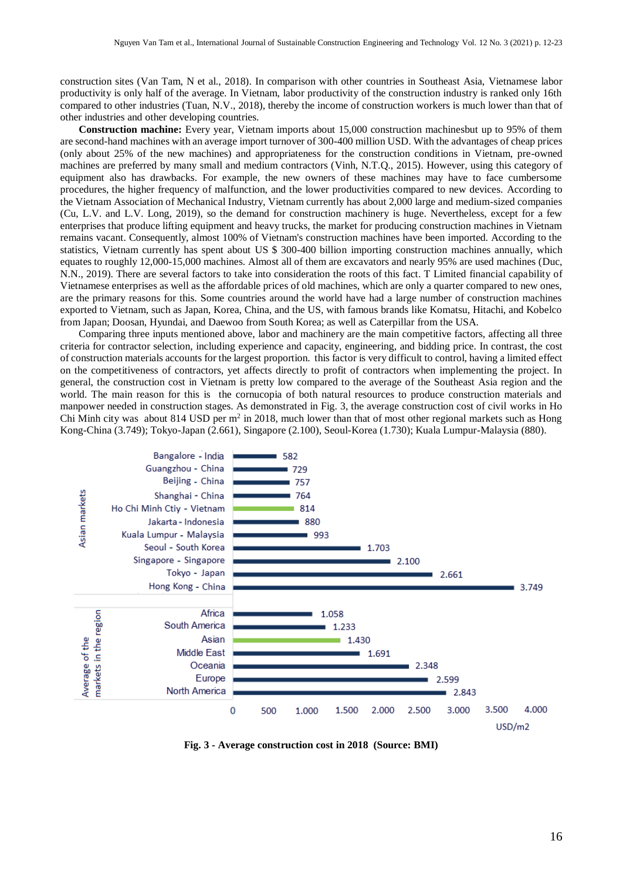construction sites (Van Tam, N et al., 2018). In comparison with other countries in Southeast Asia, Vietnamese labor productivity is only half of the average. In Vietnam, labor productivity of the construction industry is ranked only 16th compared to other industries (Tuan, N.V., 2018), thereby the income of construction workers is much lower than that of other industries and other developing countries.

**Construction machine:** Every year, Vietnam imports about 15,000 construction machinesbut up to 95% of them are second-hand machines with an average import turnover of 300-400 million USD. With the advantages of cheap prices (only about 25% of the new machines) and appropriateness for the construction conditions in Vietnam, pre-owned machines are preferred by many small and medium contractors (Vinh, N.T.Q., 2015). However, using this category of equipment also has drawbacks. For example, the new owners of these machines may have to face cumbersome procedures, the higher frequency of malfunction, and the lower productivities compared to new devices. According to the Vietnam Association of Mechanical Industry, Vietnam currently has about 2,000 large and medium-sized companies (Cu, L.V. and L.V. Long, 2019), so the demand for construction machinery is huge. Nevertheless, except for a few enterprises that produce lifting equipment and heavy trucks, the market for producing construction machines in Vietnam remains vacant. Consequently, almost 100% of Vietnam's construction machines have been imported. According to the statistics, Vietnam currently has spent about US \$ 300-400 billion importing construction machines annually, which equates to roughly 12,000-15,000 machines. Almost all of them are excavators and nearly 95% are used machines (Duc, N.N., 2019). There are several factors to take into consideration the roots of this fact. T Limited financial capability of Vietnamese enterprises as well as the affordable prices of old machines, which are only a quarter compared to new ones, are the primary reasons for this. Some countries around the world have had a large number of construction machines exported to Vietnam, such as Japan, Korea, China, and the US, with famous brands like Komatsu, Hitachi, and Kobelco from Japan; Doosan, Hyundai, and Daewoo from South Korea; as well as Caterpillar from the USA.

Comparing three inputs mentioned above, labor and machinery are the main competitive factors, affecting all three criteria for contractor selection, including experience and capacity, engineering, and bidding price. In contrast, the cost of construction materials accounts for the largest proportion. this factor is very difficult to control, having a limited effect on the competitiveness of contractors, yet affects directly to profit of contractors when implementing the project. In general, the construction cost in Vietnam is pretty low compared to the average of the Southeast Asia region and the world. The main reason for this is the cornucopia of both natural resources to produce construction materials and manpower needed in construction stages. As demonstrated in Fig. 3, the average construction cost of civil works in Ho Chi Minh city was about 814 USD per  $m^2$  in 2018, much lower than that of most other regional markets such as Hong Kong-China (3.749); Tokyo-Japan (2.661), Singapore (2.100), Seoul-Korea (1.730); Kuala Lumpur-Malaysia (880).



**Fig. 3 - Average construction cost in 2018 (Source: BMI)**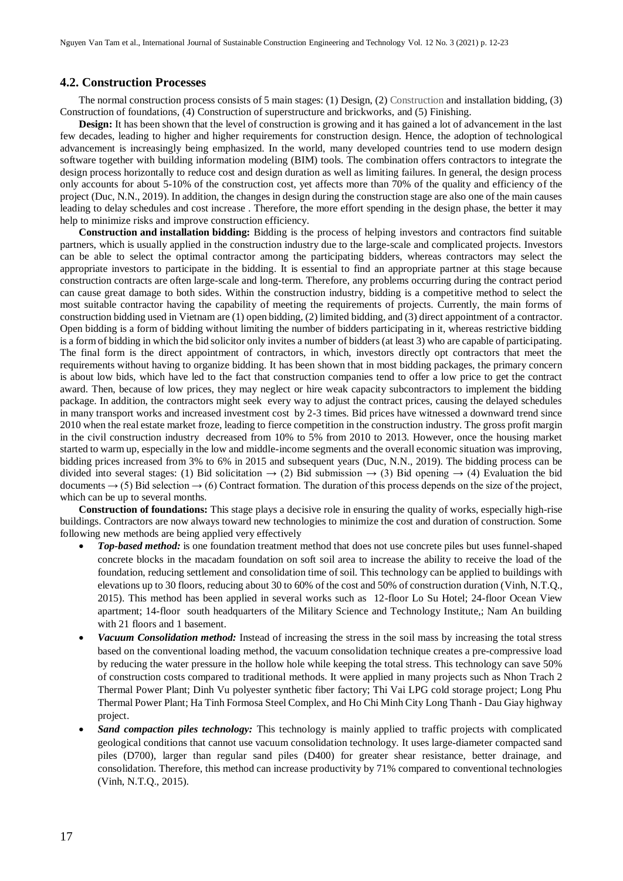#### **4.2. Construction Processes**

The normal construction process consists of 5 main stages: (1) Design, (2) Construction and installation bidding, (3) Construction of foundations, (4) Construction of superstructure and brickworks, and (5) Finishing.

**Design:** It has been shown that the level of construction is growing and it has gained a lot of advancement in the last few decades, leading to higher and higher requirements for construction design. Hence, the adoption of technological advancement is increasingly being emphasized. In the world, many developed countries tend to use modern design software together with building information modeling (BIM) tools. The combination offers contractors to integrate the design process horizontally to reduce cost and design duration as well as limiting failures. In general, the design process only accounts for about 5-10% of the construction cost, yet affects more than 70% of the quality and efficiency of the project (Duc, N.N., 2019). In addition, the changes in design during the construction stage are also one of the main causes leading to delay schedules and cost increase . Therefore, the more effort spending in the design phase, the better it may help to minimize risks and improve construction efficiency.

**Construction and installation bidding:** Bidding is the process of helping investors and contractors find suitable partners, which is usually applied in the construction industry due to the large-scale and complicated projects. Investors can be able to select the optimal contractor among the participating bidders, whereas contractors may select the appropriate investors to participate in the bidding. It is essential to find an appropriate partner at this stage because construction contracts are often large-scale and long-term. Therefore, any problems occurring during the contract period can cause great damage to both sides. Within the construction industry, bidding is a competitive method to select the most suitable contractor having the capability of meeting the requirements of projects. Currently, the main forms of construction bidding used in Vietnam are (1) open bidding, (2) limited bidding, and (3) direct appointment of a contractor. Open bidding is a form of bidding without limiting the number of bidders participating in it, whereas restrictive bidding is a form of bidding in which the bid solicitor only invites a number of bidders (at least 3) who are capable of participating. The final form is the direct appointment of contractors, in which, investors directly opt contractors that meet the requirements without having to organize bidding. It has been shown that in most bidding packages, the primary concern is about low bids, which have led to the fact that construction companies tend to offer a low price to get the contract award. Then, because of low prices, they may neglect or hire weak capacity subcontractors to implement the bidding package. In addition, the contractors might seek every way to adjust the contract prices, causing the delayed schedules in many transport works and increased investment cost by 2-3 times. Bid prices have witnessed a downward trend since 2010 when the real estate market froze, leading to fierce competition in the construction industry. The gross profit margin in the civil construction industry decreased from 10% to 5% from 2010 to 2013. However, once the housing market started to warm up, especially in the low and middle-income segments and the overall economic situation was improving, bidding prices increased from 3% to 6% in 2015 and subsequent years (Duc, N.N., 2019). The bidding process can be divided into several stages: (1) Bid solicitation  $\rightarrow$  (2) Bid submission  $\rightarrow$  (3) Bid opening  $\rightarrow$  (4) Evaluation the bid documents  $\rightarrow$  (5) Bid selection  $\rightarrow$  (6) Contract formation. The duration of this process depends on the size of the project, which can be up to several months.

**Construction of foundations:** This stage plays a decisive role in ensuring the quality of works, especially high-rise buildings. Contractors are now always toward new technologies to minimize the cost and duration of construction. Some following new methods are being applied very effectively

- *Top-based method:* is one foundation treatment method that does not use concrete piles but uses funnel-shaped concrete blocks in the macadam foundation on soft soil area to increase the ability to receive the load of the foundation, reducing settlement and consolidation time of soil. This technology can be applied to buildings with elevations up to 30 floors, reducing about 30 to 60% of the cost and 50% of construction duration (Vinh, N.T.Q., 2015). This method has been applied in several works such as 12-floor Lo Su Hotel; 24-floor Ocean View apartment; 14-floor south headquarters of the Military Science and Technology Institute,; Nam An building with 21 floors and 1 basement.
- *Vacuum Consolidation method:* Instead of increasing the stress in the soil mass by increasing the total stress based on the conventional loading method, the vacuum consolidation technique creates a pre-compressive load by reducing the water pressure in the hollow hole while keeping the total stress. This technology can save 50% of construction costs compared to traditional methods. It were applied in many projects such as Nhon Trach 2 Thermal Power Plant; Dinh Vu polyester synthetic fiber factory; Thi Vai LPG cold storage project; Long Phu Thermal Power Plant; Ha Tinh Formosa Steel Complex, and Ho Chi Minh City Long Thanh - Dau Giay highway project.
- *Sand compaction piles technology:* This technology is mainly applied to traffic projects with complicated geological conditions that cannot use vacuum consolidation technology. It uses large-diameter compacted sand piles (D700), larger than regular sand piles (D400) for greater shear resistance, better drainage, and consolidation. Therefore, this method can increase productivity by 71% compared to conventional technologies (Vinh, N.T.Q., 2015).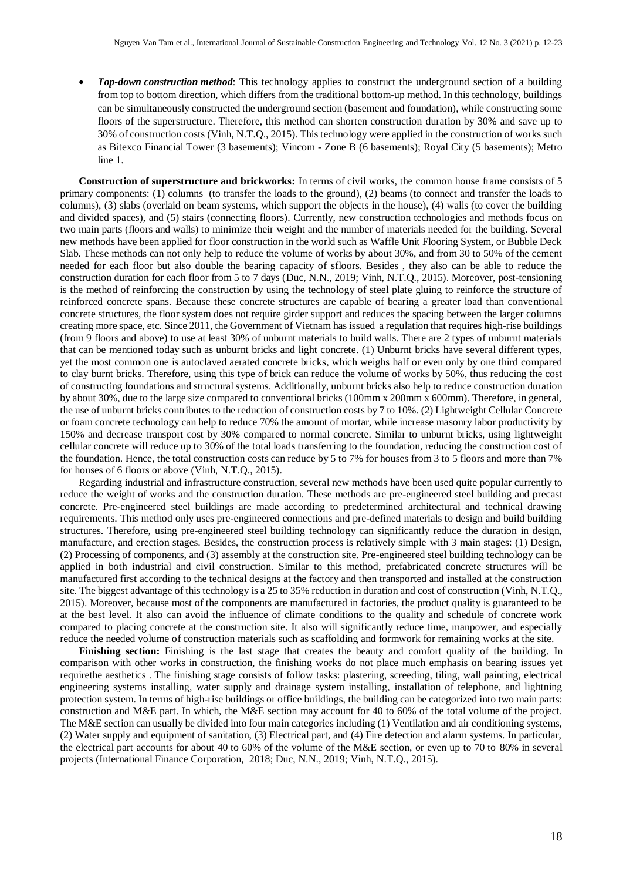*Top-down construction method*: This technology applies to construct the underground section of a building from top to bottom direction, which differs from the traditional bottom-up method. In this technology, buildings can be simultaneously constructed the underground section (basement and foundation), while constructing some floors of the superstructure. Therefore, this method can shorten construction duration by 30% and save up to 30% of construction costs (Vinh, N.T.Q., 2015). This technology were applied in the construction of works such as Bitexco Financial Tower (3 basements); Vincom - Zone B (6 basements); Royal City (5 basements); Metro line 1.

**Construction of superstructure and brickworks:** In terms of civil works, the common house frame consists of 5 primary components: (1) [columns](https://dictionary.cambridge.org/vi/dictionary/english/column) (to transfer the loads to the ground), (2) beams (to connect and transfer the loads to columns), (3) slabs (overlaid on beam systems, which support the objects in the house), (4) walls (to cover the building and divided spaces), and (5) stairs (connecting floors). Currently, new construction technologies and methods focus on two main parts (floors and walls) to minimize their weight and the number of materials needed for the building. Several new methods have been applied for floor construction in the world such as Waffle Unit Flooring System, or Bubble Deck Slab. These methods can not only help to reduce the volume of works by about 30%, and from 30 to 50% of the cement needed for each floor but also double the bearing capacity of sfloors. Besides , they also can be able to reduce the construction duration for each floor from 5 to 7 days (Duc, N.N., 2019; Vinh, N.T.Q., 2015). Moreover, post-tensioning is the method of reinforcing the construction by using the technology of steel plate gluing to reinforce the structure of reinforced concrete spans. Because these concrete structures are capable of bearing a greater load than conventional concrete structures, the floor system does not require girder support and reduces the spacing between the larger columns creating more space, etc. Since 2011, the Government of Vietnam has issued a regulation that requires high-rise buildings (from 9 floors and above) to use at least 30% of unburnt materials to build walls. There are 2 types of unburnt materials that can be mentioned today such as unburnt bricks and light concrete. (1) Unburnt bricks have several different types, yet the most common one is autoclaved aerated concrete bricks, which weighs half or even only by one third compared to clay burnt bricks. Therefore, using this type of brick can reduce the volume of works by 50%, thus reducing the cost of constructing foundations and structural systems. Additionally, unburnt bricks also help to reduce construction duration by about 30%, due to the large size compared to conventional bricks (100mm x 200mm x 600mm). Therefore, in general, the use of unburnt bricks contributes to the reduction of construction costs by 7 to 10%. (2) Lightweight Cellular Concrete or foam concrete technology can help to reduce 70% the amount of mortar, while increase masonry labor productivity by 150% and decrease transport cost by 30% compared to normal concrete. Similar to unburnt bricks, using lightweight cellular concrete will reduce up to 30% of the total loads transferring to the foundation, reducing the construction cost of the foundation. Hence, the total construction costs can reduce by 5 to 7% for houses from 3 to 5 floors and more than 7% for houses of 6 floors or above (Vinh, N.T.Q., 2015).

Regarding industrial and infrastructure construction, several new methods have been used quite popular currently to reduce the weight of works and the construction duration. These methods are pre-engineered steel building and precast concrete. Pre-engineered steel buildings are made according to predetermined architectural and technical drawing requirements. This method only uses pre-engineered connections and pre-defined materials to design and build building structures. Therefore, using pre-engineered steel building technology can significantly reduce the duration in design, manufacture, and erection stages. Besides, the construction process is relatively simple with 3 main stages: (1) Design, (2) Processing of components, and (3) assembly at the construction site. Pre-engineered steel building technology can be applied in both industrial and civil construction. Similar to this method, prefabricated concrete structures will be manufactured first according to the technical designs at the factory and then transported and installed at the construction site. The biggest advantage of this technology is a 25 to 35% reduction in duration and cost of construction (Vinh, N.T.Q., 2015). Moreover, because most of the components are manufactured in factories, the product quality is guaranteed to be at the best level. It also can avoid the influence of climate conditions to the quality and schedule of concrete work compared to placing concrete at the construction site. It also will significantly reduce time, manpower, and especially reduce the needed volume of construction materials such as scaffolding and formwork for remaining works at the site.

**Finishing section:** Finishing is the last stage that creates the beauty and comfort quality of the building. In comparison with other works in construction, the finishing works do not place much emphasis on bearing issues yet requirethe aesthetics . The finishing stage consists of follow tasks: plastering, screeding, tiling, wall painting, electrical engineering systems installing, water supply and drainage system installing, installation of telephone, and lightning protection system. In terms of high-rise buildings or office buildings, the building can be categorized into two main parts: construction and M&E part. In which, the M&E section may account for 40 to 60% of the total volume of the project. The M&E section can usually be divided into four main categories including (1) Ventilation and air conditioning systems, (2) Water supply and equipment of sanitation, (3) Electrical part, and (4) Fire detection and alarm systems. In particular, the electrical part accounts for about 40 to 60% of the volume of the M&E section, or even up to 70 to 80% in several projects (International Finance Corporation, 2018; Duc, N.N., 2019; Vinh, N.T.Q., 2015).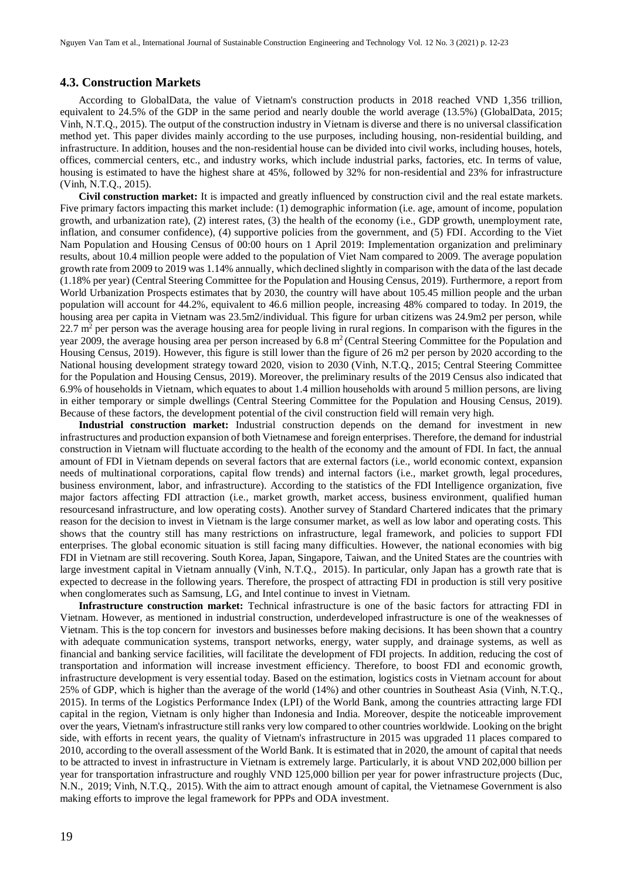#### **4.3. Construction Markets**

According to GlobalData, the value of Vietnam's construction products in 2018 reached VND 1,356 trillion, equivalent to 24.5% of the GDP in the same period and nearly double the world average (13.5%) (GlobalData, 2015; Vinh, N.T.Q., 2015). The output of the construction industry in Vietnam is diverse and there is no universal classification method yet. This paper divides mainly according to the use purposes, including housing, non-residential building, and infrastructure. In addition, houses and the non-residential house can be divided into civil works, including houses, hotels, offices, commercial centers, etc., and industry works, which include industrial parks, factories, etc. In terms of value, housing is estimated to have the highest share at 45%, followed by 32% for non-residential and 23% for infrastructure (Vinh, N.T.Q., 2015).

**Civil construction market:** It is impacted and greatly influenced by construction civil and the real estate markets. Five primary factors impacting this market include: (1) demographic information (i.e. age, amount of income, population growth, and urbanization rate), (2) interest rates, (3) the health of the economy (i.e., GDP growth, unemployment rate, inflation, and consumer confidence), (4) supportive policies from the government, and (5) FDI. According to the Viet Nam Population and Housing Census of 00:00 hours on 1 April 2019: Implementation organization and preliminary results, about 10.4 million people were added to the population of Viet Nam compared to 2009. The average population growth rate from 2009 to 2019 was 1.14% annually, which declined slightly in comparison with the data of the last decade (1.18% per year) (Central Steering Committee for the Population and Housing Census, 2019). Furthermore, a report from World Urbanization Prospects estimates that by 2030, the country will have about 105.45 million people and the urban population will account for 44.2%, equivalent to 46.6 million people, increasing 48% compared to today. In 2019, the housing area per capita in Vietnam was 23.5m2/individual. This figure for urban citizens was 24.9m2 per person, while  $22.7$  m<sup>2</sup> per person was the average housing area for people living in rural regions. In comparison with the figures in the year 2009, the average housing area per person increased by  $6.8 \text{ m}^2$  (Central Steering Committee for the Population and Housing Census, 2019). However, this figure is still lower than the figure of 26 m2 per person by 2020 according to the National housing development strategy toward 2020, vision to 2030 (Vinh, N.T.Q., 2015; Central Steering Committee for the Population and Housing Census, 2019). Moreover, the preliminary results of the 2019 Census also indicated that 6.9% of households in Vietnam, which equates to about 1.4 million households with around 5 million persons, are living in either temporary or simple dwellings (Central Steering Committee for the Population and Housing Census, 2019). Because of these factors, the development potential of the civil construction field will remain very high.

**Industrial construction market:** Industrial construction depends on the demand for investment in new infrastructures and production expansion of both Vietnamese and foreign enterprises. Therefore, the demand for industrial construction in Vietnam will fluctuate according to the health of the economy and the amount of FDI. In fact, the annual amount of FDI in Vietnam depends on several factors that are external factors (i.e., world economic context, expansion needs of multinational corporations, capital flow trends) and internal factors (i.e., market growth, legal procedures, business environment, labor, and infrastructure). According to the statistics of the FDI Intelligence organization, five major factors affecting FDI attraction (i.e., market growth, market access, business environment, qualified human resourcesand infrastructure, and low operating costs). Another survey of Standard Chartered indicates that the primary reason for the decision to invest in Vietnam is the large consumer market, as well as low labor and operating costs. This shows that the country still has many restrictions on infrastructure, legal framework, and policies to support FDI enterprises. The global economic situation is still facing many difficulties. However, the national economies with big FDI in Vietnam are still recovering. South Korea, Japan, Singapore, Taiwan, and the United States are the countries with large investment capital in Vietnam annually (Vinh, N.T.Q., 2015). In particular, only Japan has a growth rate that is expected to decrease in the following years. Therefore, the prospect of attracting FDI in production is still very positive when conglomerates such as Samsung, LG, and Intel continue to invest in Vietnam.

**Infrastructure construction market:** Technical infrastructure is one of the basic factors for attracting FDI in Vietnam. However, as mentioned in industrial construction, underdeveloped infrastructure is one of the weaknesses of Vietnam. This is the top concern for investors and businesses before making decisions. It has been shown that a country with adequate communication systems, transport networks, energy, water supply, and drainage systems, as well as financial and banking service facilities, will facilitate the development of FDI projects. In addition, reducing the cost of transportation and information will increase investment efficiency. Therefore, to boost FDI and economic growth, infrastructure development is very essential today. Based on the estimation, logistics costs in Vietnam account for about 25% of GDP, which is higher than the average of the world (14%) and other countries in Southeast Asia (Vinh, N.T.Q., 2015). In terms of the [Logistics Performance Index](https://lpi.worldbank.org/) (LPI) of the World Bank, among the countries attracting large FDI capital in the region, Vietnam is only higher than Indonesia and India. Moreover, despite the noticeable improvement over the years, Vietnam's infrastructure still ranks very low compared to other countries worldwide. Looking on the bright side, with efforts in recent years, the quality of Vietnam's infrastructure in 2015 was upgraded 11 places compared to 2010, according to the overall assessment of the World Bank. It is estimated that in 2020, the amount of capital that needs to be attracted to invest in infrastructure in Vietnam is extremely large. Particularly, it is about VND 202,000 billion per year for transportation infrastructure and roughly VND 125,000 billion per year for power infrastructure projects (Duc, N.N., 2019; Vinh, N.T.Q., 2015). With the aim to attract enough amount of capital, the Vietnamese Government is also making efforts to improve the legal framework for PPPs and ODA investment.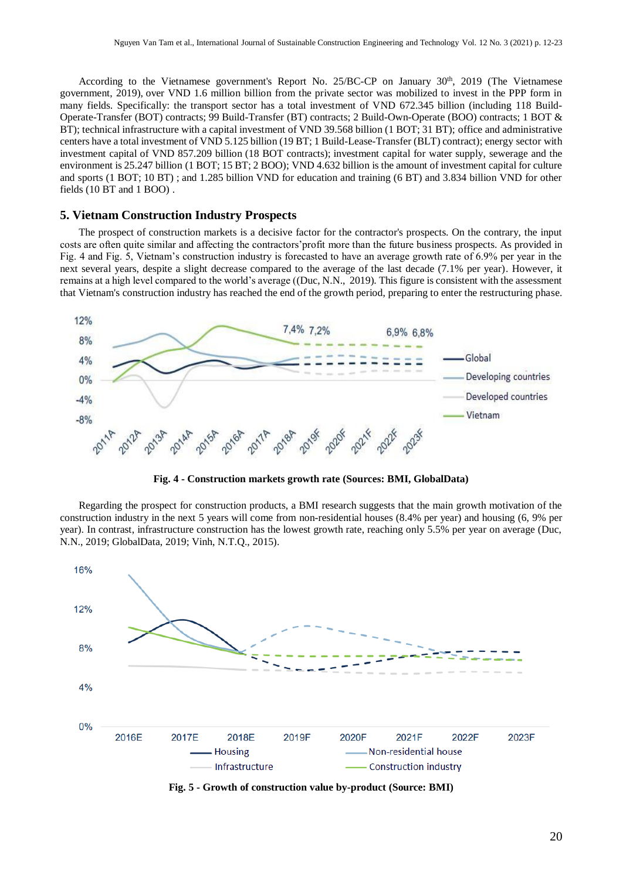According to the Vietnamese government's Report No. 25/BC-CP on January 30<sup>th</sup>, 2019 (The Vietnamese government, 2019), over VND 1.6 million billion from the private sector was mobilized to invest in the PPP form in many fields. Specifically: the transport sector has a total investment of VND 672.345 billion (including 118 Build-Operate-Transfer (BOT) contracts; 99 Build-Transfer (BT) contracts; 2 Build-Own-Operate (BOO) contracts; 1 BOT & BT); technical infrastructure with a capital investment of VND 39.568 billion (1 BOT; 31 BT); office and administrative centers have a total investment of VND 5.125 billion (19 BT; 1 Build-Lease-Transfer (BLT) contract); energy sector with investment capital of VND 857.209 billion (18 BOT contracts); investment capital for water supply, sewerage and the environment is 25.247 billion (1 BOT; 15 BT; 2 BOO); VND 4.632 billion is the amount of investment capital for culture and sports (1 BOT; 10 BT) ; and 1.285 billion VND for education and training (6 BT) and 3.834 billion VND for other fields (10 BT and 1 BOO) .

### **5. Vietnam Construction Industry Prospects**

The prospect of construction markets is a decisive factor for the contractor's prospects. On the contrary, the input costs are often quite similar and affecting the contractors'profit more than the future business prospects. As provided in Fig. 4 and Fig. 5, Vietnam's construction industry is forecasted to have an average growth rate of 6.9% per year in the next several years, despite a slight decrease compared to the average of the last decade (7.1% per year). However, it remains at a high level compared to the world's average ((Duc, N.N., 2019). This figure is consistent with the assessment that Vietnam's construction industry has reached the end of the growth period, preparing to enter the restructuring phase.



**Fig. 4 - Construction markets growth rate (Sources: BMI, GlobalData)**

Regarding the prospect for construction products, a BMI research suggests that the main growth motivation of the construction industry in the next 5 years will come from non-residential houses (8.4% per year) and housing (6, 9% per year). In contrast, infrastructure construction has the lowest growth rate, reaching only 5.5% per year on average (Duc, N.N., 2019; GlobalData, 2019; Vinh, N.T.Q., 2015).



**Fig. 5 - Growth of construction value by-product (Source: BMI)**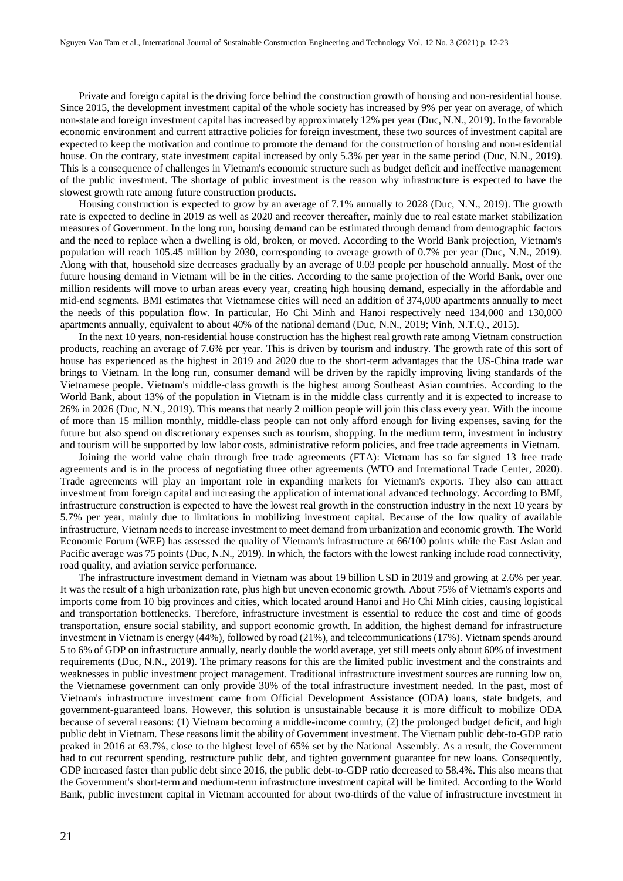Private and foreign capital is the driving force behind the construction growth of housing and non-residential house. Since 2015, the development investment capital of the whole society has increased by 9% per year on average, of which non-state and foreign investment capital has increased by approximately 12% per year (Duc, N.N., 2019). In the favorable economic environment and current attractive policies for foreign investment, these two sources of investment capital are expected to keep the motivation and continue to promote the demand for the construction of housing and non-residential house. On the contrary, state investment capital increased by only 5.3% per year in the same period (Duc, N.N., 2019). This is a consequence of challenges in Vietnam's economic structure such as budget deficit and ineffective management of the public investment. The shortage of public investment is the reason why infrastructure is expected to have the slowest growth rate among future construction products.

Housing construction is expected to grow by an average of 7.1% annually to 2028 (Duc, N.N., 2019). The growth rate is expected to decline in 2019 as well as 2020 and recover thereafter, mainly due to real estate market stabilization measures of Government. In the long run, housing demand can be estimated through demand from demographic factors and the need to replace when a dwelling is old, broken, or moved. According to the World Bank projection, Vietnam's population will reach 105.45 million by 2030, corresponding to average growth of 0.7% per year (Duc, N.N., 2019). Along with that, household size decreases gradually by an average of 0.03 people per household annually. Most of the future housing demand in Vietnam will be in the cities. According to the same projection of the World Bank, over one million residents will move to urban areas every year, creating high housing demand, especially in the affordable and mid-end segments. BMI estimates that Vietnamese cities will need an addition of 374,000 apartments annually to meet the needs of this population flow. In particular, Ho Chi Minh and Hanoi respectively need 134,000 and 130,000 apartments annually, equivalent to about 40% of the national demand (Duc, N.N., 2019; Vinh, N.T.Q., 2015).

In the next 10 years, non-residential house construction has the highest real growth rate among Vietnam construction products, reaching an average of 7.6% per year. This is driven by tourism and industry. The growth rate of this sort of house has experienced as the highest in 2019 and 2020 due to the short-term advantages that the US-China trade war brings to Vietnam. In the long run, consumer demand will be driven by the rapidly improving living standards of the Vietnamese people. Vietnam's middle-class growth is the highest among Southeast Asian countries. According to the World Bank, about 13% of the population in Vietnam is in the middle class currently and it is expected to increase to 26% in 2026 (Duc, N.N., 2019). This means that nearly 2 million people will join this class every year. With the income of more than 15 million monthly, middle-class people can not only afford enough for living expenses, saving for the future but also spend on discretionary expenses such as tourism, shopping. In the medium term, investment in industry and tourism will be supported by low labor costs, administrative reform policies, and free trade agreements in Vietnam.

Joining the world value chain through free trade agreements (FTA): Vietnam has so far signed 13 free trade agreements and is in the process of negotiating three other agreements (WTO and International Trade Center, 2020). Trade agreements will play an important role in expanding markets for Vietnam's exports. They also can attract investment from foreign capital and increasing the application of international advanced technology. According to BMI, infrastructure construction is expected to have the lowest real growth in the construction industry in the next 10 years by 5.7% per year, mainly due to limitations in mobilizing investment capital. Because of the low quality of available infrastructure, Vietnam needs to increase investment to meet demand from urbanization and economic growth. The World Economic Forum (WEF) has assessed the quality of Vietnam's infrastructure at 66/100 points while the East Asian and Pacific average was 75 points (Duc, N.N., 2019). In which, the factors with the lowest ranking include road connectivity, road quality, and aviation service performance.

The infrastructure investment demand in Vietnam was about 19 billion USD in 2019 and growing at 2.6% per year. It was the result of a high urbanization rate, plus high but uneven economic growth. About 75% of Vietnam's exports and imports come from 10 big provinces and cities, which located around Hanoi and Ho Chi Minh cities, causing logistical and transportation bottlenecks. Therefore, infrastructure investment is essential to reduce the cost and time of goods transportation, ensure social stability, and support economic growth. In addition, the highest demand for infrastructure investment in Vietnam is energy (44%), followed by road (21%), and telecommunications (17%). Vietnam spends around 5 to 6% of GDP on infrastructure annually, nearly double the world average, yet still meets only about 60% of investment requirements (Duc, N.N., 2019). The primary reasons for this are the limited public investment and the constraints and weaknesses in public investment project management. Traditional infrastructure investment sources are running low on, the Vietnamese government can only provide 30% of the total infrastructure investment needed. In the past, most of Vietnam's infrastructure investment came from Official Development Assistance (ODA) loans, state budgets, and government-guaranteed loans. However, this solution is unsustainable because it is more difficult to mobilize ODA because of several reasons: (1) Vietnam becoming a middle-income country, (2) the prolonged budget deficit, and high public debt in Vietnam. These reasons limit the ability of Government investment. The Vietnam public [debt-to-GDP](https://en.wikipedia.org/wiki/Debt-to-GDP_ratio) ratio peaked in 2016 at 63.7%, close to the highest level of 65% set by the National Assembly. As a result, the Government had to cut recurrent spending, restructure public debt, and tighten government guarantee for new loans. Consequently, GDP increased faster than public debt since 2016, the publi[c debt-to-GDP](https://en.wikipedia.org/wiki/Debt-to-GDP_ratio) ratio decreased to 58.4%. This also means that the Government's short-term and medium-term infrastructure investment capital will be limited. According to the World Bank, public investment capital in Vietnam accounted for about two-thirds of the value of infrastructure investment in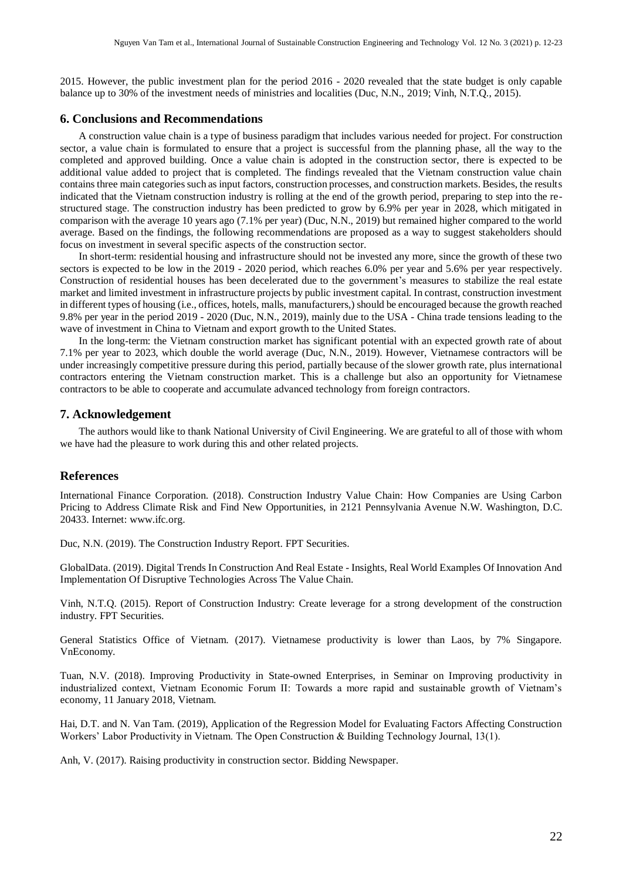2015. However, the public investment plan for the period 2016 - 2020 revealed that the state budget is only capable balance up to 30% of the investment needs of ministries and localities (Duc, N.N., 2019; Vinh, N.T.Q., 2015).

#### **6. Conclusions and Recommendations**

A construction value chain is a type of business paradigm that includes various needed for project. For construction sector, a value chain is formulated to ensure that a project is successful from the planning phase, all the way to the completed and approved building. Once a value chain is adopted in the construction sector, there is expected to be additional value added to project that is completed. The findings revealed that the Vietnam construction value chain contains three main categories such as input factors, construction processes, and construction markets. Besides, the results indicated that the Vietnam construction industry is rolling at the end of the growth period, preparing to step into the restructured stage. The construction industry has been predicted to grow by 6.9% per year in 2028, which mitigated in comparison with the average 10 years ago (7.1% per year) (Duc, N.N., 2019) but remained higher compared to the world average. Based on the findings, the following recommendations are proposed as a way to suggest stakeholders should focus on investment in several specific aspects of the construction sector.

In short-term: residential housing and infrastructure should not be invested any more, since the growth of these two sectors is expected to be low in the 2019 - 2020 period, which reaches 6.0% per year and 5.6% per year respectively. Construction of residential houses has been decelerated due to the government's measures to stabilize the real estate market and limited investment in infrastructure projects by public investment capital. In contrast, construction investment in different types of housing (i.e., offices, hotels, malls, manufacturers,) should be encouraged because the growth reached 9.8% per year in the period 2019 - 2020 (Duc, N.N., 2019), mainly due to the USA - China trade tensions leading to the wave of investment in China to Vietnam and export growth to the United States.

In the long-term: the Vietnam construction market has significant potential with an expected growth rate of about 7.1% per year to 2023, which double the world average (Duc, N.N., 2019). However, Vietnamese contractors will be under increasingly competitive pressure during this period, partially because of the slower growth rate, plus international contractors entering the Vietnam construction market. This is a challenge but also an opportunity for Vietnamese contractors to be able to cooperate and accumulate advanced technology from foreign contractors.

#### **7. Acknowledgement**

The authors would like to thank National University of Civil Engineering. We are grateful to all of those with whom we have had the pleasure to work during this and other related projects.

#### **References**

International Finance Corporation. (2018). Construction Industry Value Chain: How Companies are Using Carbon Pricing to Address Climate Risk and Find New Opportunities, in 2121 Pennsylvania Avenue N.W. Washington, D.C. 20433. Internet: [www.ifc.org.](file:///C:/Users/Admin/Dropbox/0.Bo%20mon%20TC%20-%20KH/Khoa%20hoc/1.Topics/Value%20Chain/www.ifc.org)

Duc, N.N. (2019). The Construction Industry Report. FPT Securities.

GlobalData. (2019). Digital Trends In Construction And Real Estate - Insights, Real World Examples Of Innovation And Implementation Of Disruptive Technologies Across The Value Chain.

Vinh, N.T.Q. (2015). Report of Construction Industry: Create leverage for a strong development of the construction industry. FPT Securities.

General Statistics Office of Vietnam. (2017). Vietnamese productivity is lower than Laos, by 7% Singapore. VnEconomy.

Tuan, N.V. (2018). Improving Productivity in State-owned Enterprises, in Seminar on Improving productivity in industrialized context, Vietnam Economic Forum II: Towards a more rapid and sustainable growth of Vietnam's economy, 11 January 2018, Vietnam.

Hai, D.T. and N. Van Tam. (2019), Application of the Regression Model for Evaluating Factors Affecting Construction Workers' Labor Productivity in Vietnam. The Open Construction & Building Technology Journal, 13(1).

Anh, V. (2017). Raising productivity in construction sector. Bidding Newspaper.